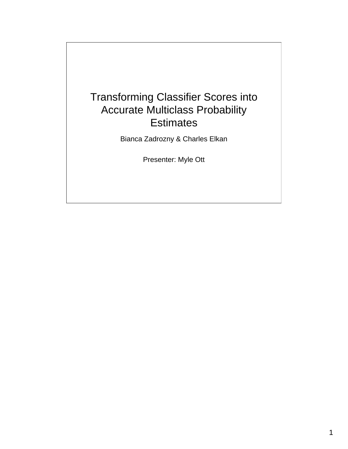#### Transforming Classifier Scores into Accurate Multiclass Probability **Estimates**

Bianca Zadrozny & Charles Elkan

Presenter: Myle Ott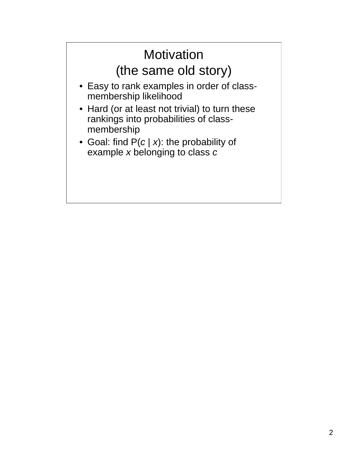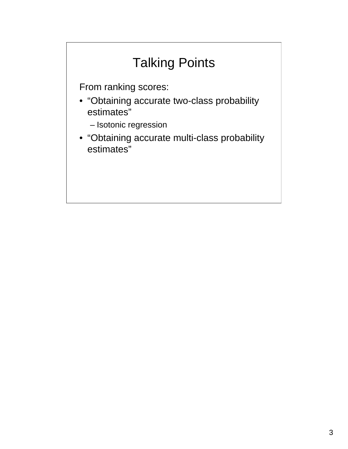### Talking Points

From ranking scores:

- "Obtaining accurate two-class probability estimates"
	- Isotonic regression
- "Obtaining accurate multi-class probability estimates"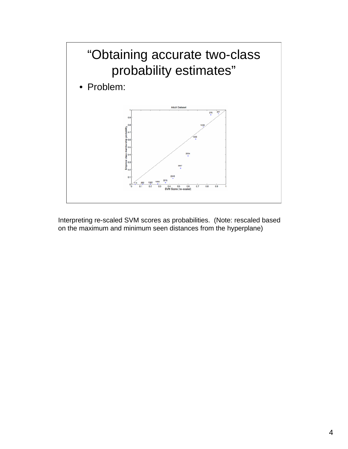

Interpreting re-scaled SVM scores as probabilities. (Note: rescaled based on the maximum and minimum seen distances from the hyperplane)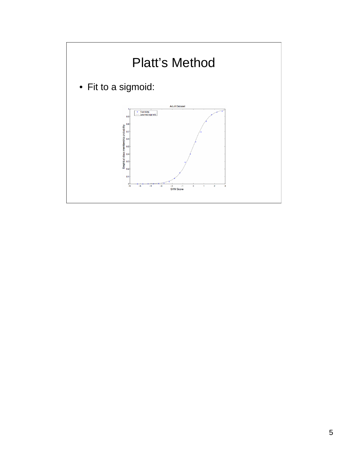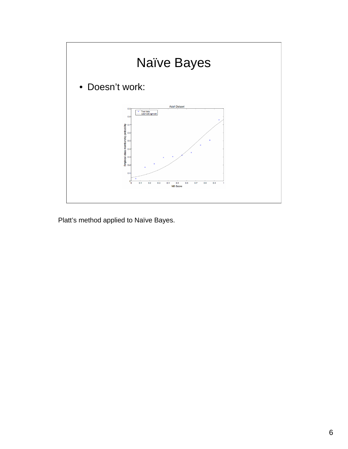

Platt's method applied to Naïve Bayes.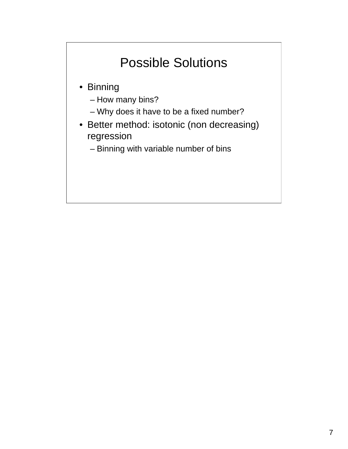# Possible Solutions • Binning – How many bins? – Why does it have to be a fixed number? • Better method: isotonic (non decreasing) regression – Binning with variable number of bins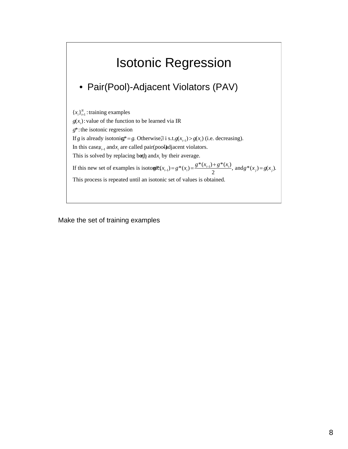### Isotonic Regression

#### • Pair(Pool)-Adjacent Violators (PAV)

 ${x_i}_{i=1}^N$ : training examples  $g(x_i)$ : value of the function to be learned via IR *g*\*: the isotonic regression If *g* is already isotonig\*= *g*. Otherwise,∃ i s.t.  $g(x_{i-1}) > g(x_i)$  (i.e. decreasing). In this casex<sub>*i*-1</sub> and *x<sub>i</sub>* are called pair(pool)adjacent violators. This is solved by replacing both and *x<sub>i</sub>* by their average. If this new set of examples is isotowit( $x_{i-1}$ ) =  $g^*(x_i) = \frac{g^*(x_{i-1}) + g^*(x_i)}{2}$ , and  $g^*(x_j) = g(x_j)$ . This process is repeated until an isotonic set of values is obtained.

Make the set of training examples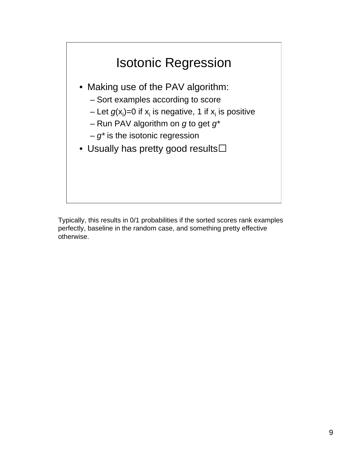

Typically, this results in 0/1 probabilities if the sorted scores rank examples perfectly, baseline in the random case, and something pretty effective otherwise.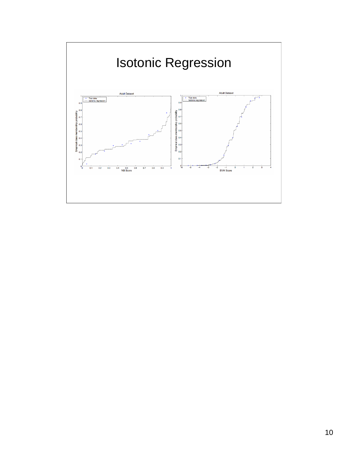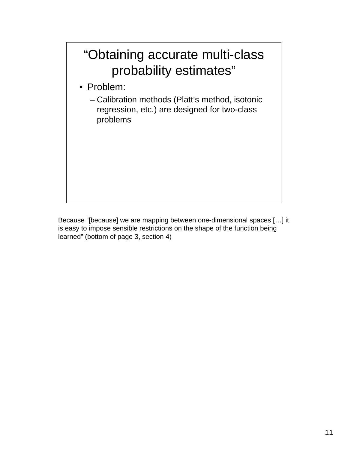### "Obtaining accurate multi-class probability estimates"

- Problem:
	- Calibration methods (Platt's method, isotonic regression, etc.) are designed for two-class problems

Because "[because] we are mapping between one-dimensional spaces […] it is easy to impose sensible restrictions on the shape of the function being learned" (bottom of page 3, section 4)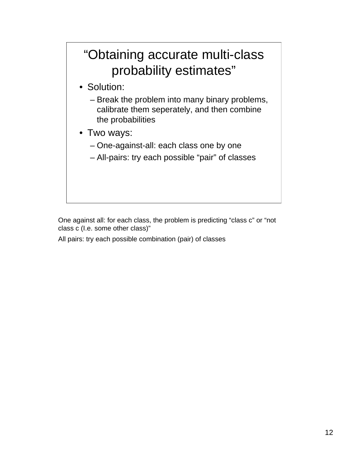### "Obtaining accurate multi-class probability estimates"

- Solution:
	- Break the problem into many binary problems, calibrate them seperately, and then combine the probabilities
- Two ways:
	- One-against-all: each class one by one
	- All-pairs: try each possible "pair" of classes

One against all: for each class, the problem is predicting "class c" or "not class c (I.e. some other class)"

All pairs: try each possible combination (pair) of classes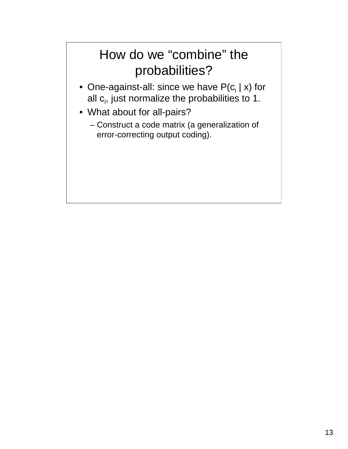### How do we "combine" the probabilities?

- One-against-all: since we have  $P(c_i | x)$  for all  $c_i$ , just normalize the probabilities to 1.
- What about for all-pairs?
	- Construct a code matrix (a generalization of error-correcting output coding).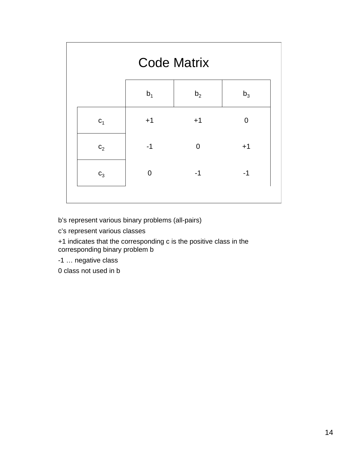|                | <b>Code Matrix</b> |                |                |  |  |
|----------------|--------------------|----------------|----------------|--|--|
|                | b <sub>1</sub>     | b <sub>2</sub> | $b_3$          |  |  |
| c <sub>1</sub> | $+1$               | $+1$           | $\overline{0}$ |  |  |
| $C_2$          | $-1$               | $\overline{0}$ | $+1$           |  |  |
| $C_3$          | $\overline{0}$     | $-1$           | $-1$           |  |  |
|                |                    |                |                |  |  |

b's represent various binary problems (all-pairs)

c's represent various classes

+1 indicates that the corresponding c is the positive class in the corresponding binary problem b

-1 … negative class

0 class not used in b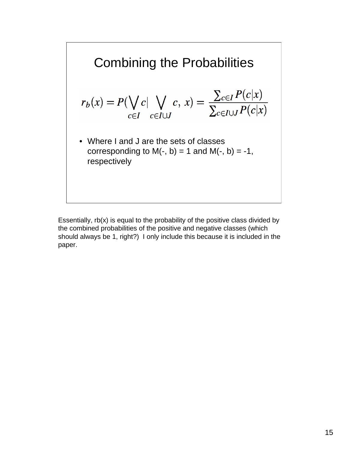

Essentially,  $rb(x)$  is equal to the probability of the positive class divided by the combined probabilities of the positive and negative classes (which should always be 1, right?) I only include this because it is included in the paper.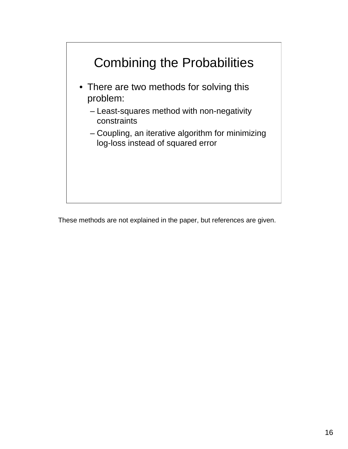

These methods are not explained in the paper, but references are given.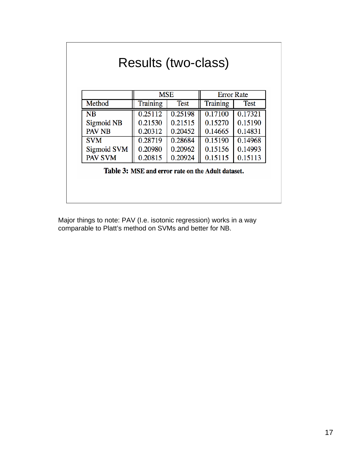|                    | <b>MSE</b> |             | <b>Error Rate</b> |             |
|--------------------|------------|-------------|-------------------|-------------|
| Method             | Training   | <b>Test</b> | <b>Training</b>   | <b>Test</b> |
| <b>NB</b>          | 0.25112    | 0.25198     | 0.17100           | 0.17321     |
| Sigmoid NB         | 0.21530    | 0.21515     | 0.15270           | 0.15190     |
| <b>PAV NB</b>      | 0.20312    | 0.20452     | 0.14665           | 0.14831     |
| <b>SVM</b>         | 0.28719    | 0.28684     | 0.15190           | 0.14968     |
| <b>Sigmoid SVM</b> | 0.20980    | 0.20962     | 0.15156           | 0.14993     |
| <b>PAV SVM</b>     | 0.20815    | 0.20924     | 0.15115           | 0.15113     |

Major things to note: PAV (I.e. isotonic regression) works in a way comparable to Platt's method on SVMs and better for NB.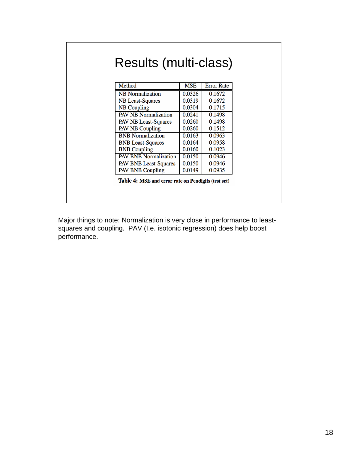| Method                       | <b>MSE</b> | <b>Error Rate</b> |
|------------------------------|------------|-------------------|
| <b>NB</b> Normalization      | 0.0326     | 0.1672            |
| <b>NB</b> Least-Squares      | 0.0319     | 0.1672            |
| <b>NB</b> Coupling           | 0.0304     | 0.1715            |
| <b>PAV NB Normalization</b>  | 0.0241     | 0.1498            |
| PAV NB Least-Squares         | 0.0260     | 0.1498            |
| <b>PAV NB Coupling</b>       | 0.0260     | 0.1512            |
| <b>BNB</b> Normalization     | 0.0163     | 0.0963            |
| <b>BNB</b> Least-Squares     | 0.0164     | 0.0958            |
| <b>BNB</b> Coupling          | 0.0160     | 0.1023            |
| <b>PAV BNB Normalization</b> | 0.0150     | 0.0946            |
| <b>PAV BNB Least-Squares</b> | 0.0150     | 0.0946            |
| <b>PAV BNB Coupling</b>      | 0.0149     | 0.0935            |

Major things to note: Normalization is very close in performance to leastsquares and coupling. PAV (I.e. isotonic regression) does help boost performance.